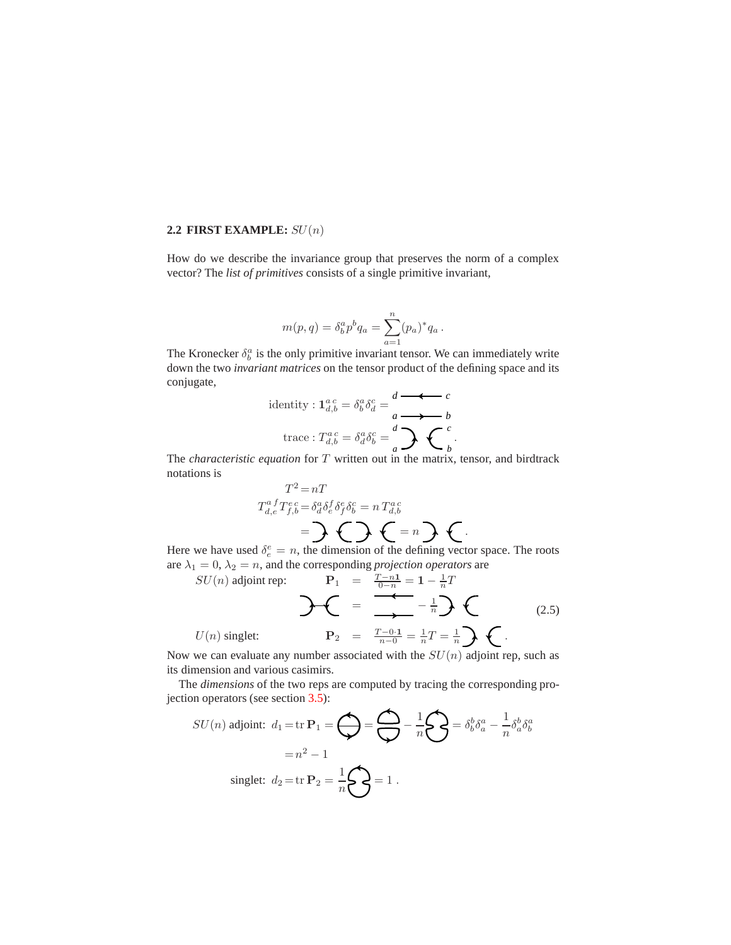## **2.2 FIRST EXAMPLE:** SU(n)

How do we describe the invariance group that preserves the norm of a complex vector? The *list of primitives* consists of a single primitive invariant,

$$
m(p, q) = \delta_b^a p^b q_a = \sum_{a=1}^n (p_a)^* q_a.
$$

The Kronecker  $\delta_b^a$  is the only primitive invariant tensor. We can immediately write down the two *invariant matrices* on the tensor product of the defining space and its conjugate,

identity: 
$$
\mathbf{1}_{d,b}^{a,c} = \delta_b^a \delta_d^c = \frac{d}{a} \longrightarrow b
$$
  
trace:  $T_{d,b}^{a,c} = \delta_d^a \delta_b^c = \frac{d}{a} \longrightarrow c$ 

.

The *characteristic equation* for T written out in the matrix, tensor, and birdtrack notations is

$$
T^{2} = nT
$$
  
\n
$$
T_{d,e}^{a}T_{f,b}^{e c} = \delta_{a}^{a} \delta_{e}^{f} \delta_{f}^{e} \delta_{b}^{c} = n T_{d,b}^{a c}
$$
  
\n
$$
= \sum_{k=1}^{n} \sum_{k=1}^{n} \sum_{k=1}^{n} \delta_{k}^{k} \delta_{k}^{e}
$$

Here we have used  $\delta_e^e = n$ , the dimension of the defining vector space. The roots are  $\lambda_1 = 0$ ,  $\lambda_2 = n$ , and the corresponding *projection operators* are

$$
SU(n) \text{ adjoint rep:} \qquad \mathbf{P}_1 = \frac{T-n1}{0-n} = 1 - \frac{1}{n}T
$$
  

$$
U(n) \text{ singlet:} \qquad \mathbf{P}_2 = \frac{T-0.1}{n-0} = \frac{1}{n}T = \frac{1}{n}\mathbf{\sum} \quad (2.5)
$$

Now we can evaluate any number associated with the  $SU(n)$  adjoint rep, such as its dimension and various casimirs.

The *dimensions* of the two reps are computed by tracing the corresponding projection operators (see section 3.5):

$$
SU(n) \text{ adjoint: } d_1 = \text{tr } \mathbf{P}_1 = \bigoplus_{n=1}^{\infty} \sum_{n=1}^{\infty} \frac{1}{n} \bigotimes_{n=1}^{\infty} = \delta_b^b \delta_a^a - \frac{1}{n} \delta_a^b \delta_b^a
$$

$$
= n^2 - 1
$$

$$
\text{singlet: } d_2 = \text{tr } \mathbf{P}_2 = \frac{1}{n} \bigotimes_{n=1}^{\infty} \mathbf{P}_1.
$$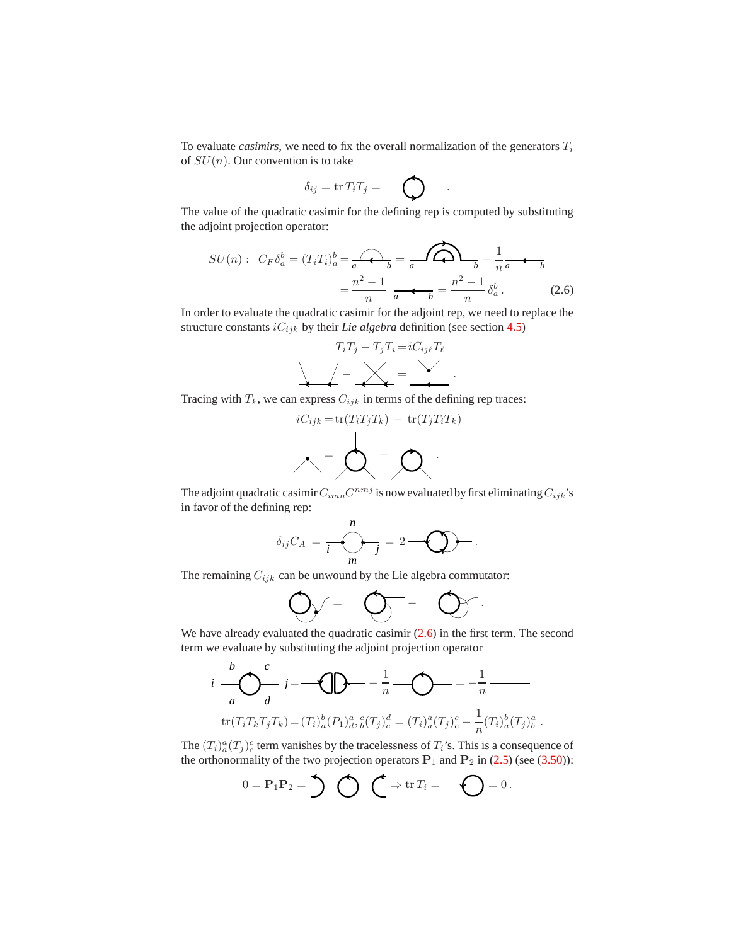To evaluate *casimirs*, we need to fix the overall normalization of the generators  $T_i$ of  $SU(n)$ . Our convention is to take

$$
\delta_{ij} = \operatorname{tr} T_i T_j = \bigotimes \cdots
$$

The value of the quadratic casimir for the defining rep is computed by substituting the adjoint projection operator:

$$
SU(n): C_F \delta_a^b = (T_i T_i)_a^b = \underbrace{A}{a} \quad b = \underbrace{A}{a} \quad \underbrace{B}{b} - \frac{1}{n} \quad a \quad b
$$
\n
$$
= \frac{n^2 - 1}{n} \quad \underbrace{A}{a} \quad b = \frac{n^2 - 1}{n} \quad \delta_a^b. \tag{2.6}
$$

In order to evaluate the quadratic casimir for the adjoint rep, we need to replace the structure constants  $iC_{ijk}$  by their *Lie algebra* definition (see section 4.5)

$$
T_i T_j - T_j T_i = i C_{ij\ell} T_\ell
$$
  

$$
\angle - \angle - \angle = \angle
$$

.

.

Tracing with  $T_k$ , we can express  $C_{ijk}$  in terms of the defining rep traces:

$$
iC_{ijk} = \text{tr}(T_i T_j T_k) - \text{tr}(T_j T_i T_k)
$$

$$
\downarrow = \bigotimes \qquad - \bigotimes \qquad
$$

The adjoint quadratic casimir  $C_{imn}C^{nmj}$  is now evaluated by first eliminating  $C_{ijk}$ 's in favor of the defining rep:

$$
\delta_{ij}C_A=\frac{n}{i}\sum_{m=1}^{n}=2-\bigotimes\cdots.
$$

The remaining  $C_{ijk}$  can be unwound by the Lie algebra commutator:

 = − .

We have already evaluated the quadratic casimir  $(2.6)$  in the first term. The second term we evaluate by substituting the adjoint projection operator

$$
i \frac{b}{a} \bigoplus_{d}^{c} j = \bigoplus_{\tau \in (T_i T_k T_j T_k)} -\frac{1}{n} \bigoplus_{\tau \in (T_i T_k T_j T_k)} -\frac{1}{n} \bigoplus_{\tau \in (T_i T_k T_j T_k)} -\frac{1}{n} \bigoplus_{d}^{c} \bigoplus_{\delta} (T_j)^d_c = (T_i)^a_a (T_j)^c_c - \frac{1}{n} (T_i)^b_a (T_j)^a_b
$$

The  $(T_i)_a^a(T_j)_c^c$  term vanishes by the tracelessness of  $T_i$ 's. This is a consequence of the orthonormality of the two projection operators  $P_1$  and  $P_2$  in (2.5) (see (3.50)):

$$
0 = \mathbf{P}_1 \mathbf{P}_2 = \bigcup \bigodot \bigodot \neq \text{tr } T_i = \bigodot = 0.
$$